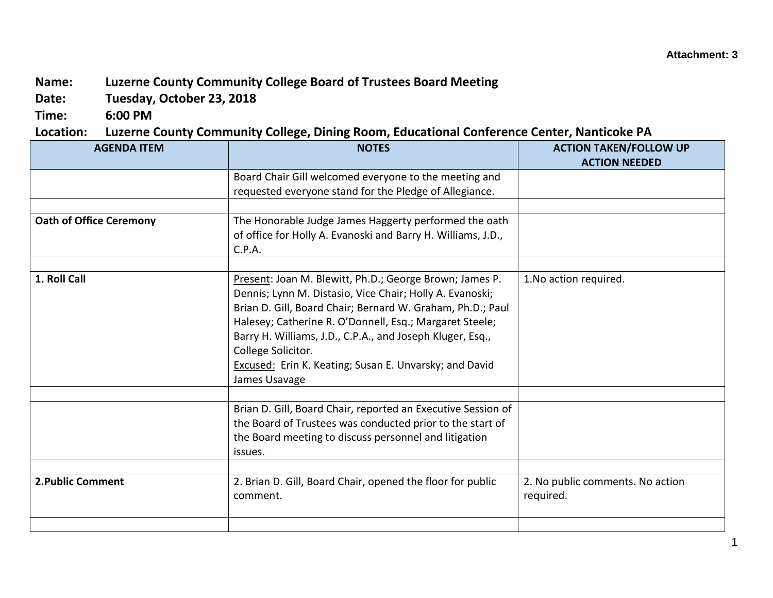## **Name: Luzerne County Community College Board of Trustees Board Meeting**

**Date: Tuesday, October 23, 2018**

**Time: 6:00 PM**

**Location: Luzerne County Community College, Dining Room, Educational Conference Center, Nanticoke PA**

| <b>AGENDA ITEM</b>             | <b>NOTES</b>                                                 | <b>ACTION TAKEN/FOLLOW UP</b>    |
|--------------------------------|--------------------------------------------------------------|----------------------------------|
|                                |                                                              | <b>ACTION NEEDED</b>             |
|                                | Board Chair Gill welcomed everyone to the meeting and        |                                  |
|                                | requested everyone stand for the Pledge of Allegiance.       |                                  |
|                                |                                                              |                                  |
| <b>Oath of Office Ceremony</b> | The Honorable Judge James Haggerty performed the oath        |                                  |
|                                | of office for Holly A. Evanoski and Barry H. Williams, J.D., |                                  |
|                                | C.P.A.                                                       |                                  |
|                                |                                                              |                                  |
| 1. Roll Call                   | Present: Joan M. Blewitt, Ph.D.; George Brown; James P.      | 1. No action required.           |
|                                | Dennis; Lynn M. Distasio, Vice Chair; Holly A. Evanoski;     |                                  |
|                                | Brian D. Gill, Board Chair; Bernard W. Graham, Ph.D.; Paul   |                                  |
|                                | Halesey; Catherine R. O'Donnell, Esq.; Margaret Steele;      |                                  |
|                                | Barry H. Williams, J.D., C.P.A., and Joseph Kluger, Esq.,    |                                  |
|                                | College Solicitor.                                           |                                  |
|                                | Excused: Erin K. Keating; Susan E. Unvarsky; and David       |                                  |
|                                | James Usavage                                                |                                  |
|                                |                                                              |                                  |
|                                | Brian D. Gill, Board Chair, reported an Executive Session of |                                  |
|                                | the Board of Trustees was conducted prior to the start of    |                                  |
|                                | the Board meeting to discuss personnel and litigation        |                                  |
|                                | issues.                                                      |                                  |
|                                |                                                              |                                  |
| 2. Public Comment              | 2. Brian D. Gill, Board Chair, opened the floor for public   | 2. No public comments. No action |
|                                | comment.                                                     | required.                        |
|                                |                                                              |                                  |
|                                |                                                              |                                  |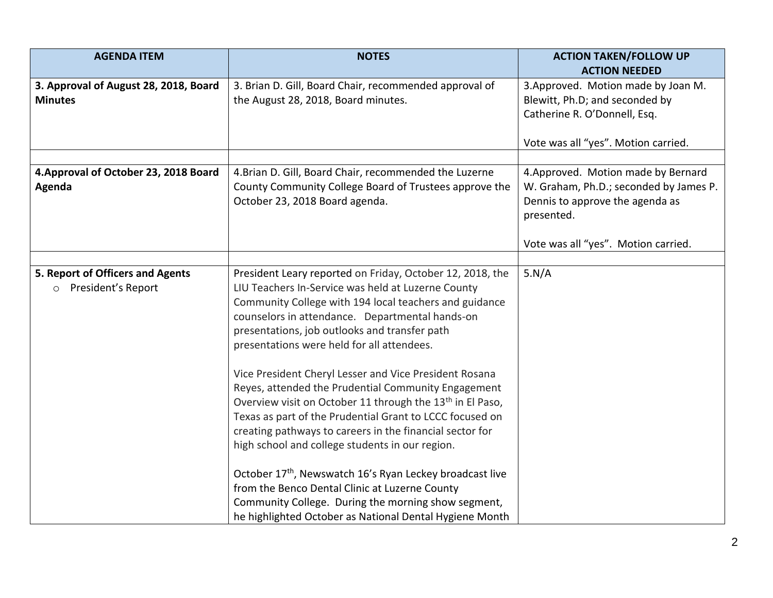| <b>AGENDA ITEM</b>                    | <b>NOTES</b>                                                          | <b>ACTION TAKEN/FOLLOW UP</b>          |
|---------------------------------------|-----------------------------------------------------------------------|----------------------------------------|
|                                       |                                                                       | <b>ACTION NEEDED</b>                   |
| 3. Approval of August 28, 2018, Board | 3. Brian D. Gill, Board Chair, recommended approval of                | 3. Approved. Motion made by Joan M.    |
| <b>Minutes</b>                        | the August 28, 2018, Board minutes.                                   | Blewitt, Ph.D; and seconded by         |
|                                       |                                                                       | Catherine R. O'Donnell, Esq.           |
|                                       |                                                                       |                                        |
|                                       |                                                                       | Vote was all "yes". Motion carried.    |
|                                       |                                                                       |                                        |
| 4. Approval of October 23, 2018 Board | 4. Brian D. Gill, Board Chair, recommended the Luzerne                | 4. Approved. Motion made by Bernard    |
| Agenda                                | County Community College Board of Trustees approve the                | W. Graham, Ph.D.; seconded by James P. |
|                                       | October 23, 2018 Board agenda.                                        | Dennis to approve the agenda as        |
|                                       |                                                                       | presented.                             |
|                                       |                                                                       |                                        |
|                                       |                                                                       | Vote was all "yes". Motion carried.    |
| 5. Report of Officers and Agents      | President Leary reported on Friday, October 12, 2018, the             | 5.N/A                                  |
| o President's Report                  | LIU Teachers In-Service was held at Luzerne County                    |                                        |
|                                       | Community College with 194 local teachers and guidance                |                                        |
|                                       | counselors in attendance. Departmental hands-on                       |                                        |
|                                       | presentations, job outlooks and transfer path                         |                                        |
|                                       | presentations were held for all attendees.                            |                                        |
|                                       |                                                                       |                                        |
|                                       | Vice President Cheryl Lesser and Vice President Rosana                |                                        |
|                                       | Reyes, attended the Prudential Community Engagement                   |                                        |
|                                       | Overview visit on October 11 through the 13 <sup>th</sup> in El Paso, |                                        |
|                                       | Texas as part of the Prudential Grant to LCCC focused on              |                                        |
|                                       | creating pathways to careers in the financial sector for              |                                        |
|                                       | high school and college students in our region.                       |                                        |
|                                       |                                                                       |                                        |
|                                       | October 17th, Newswatch 16's Ryan Leckey broadcast live               |                                        |
|                                       | from the Benco Dental Clinic at Luzerne County                        |                                        |
|                                       | Community College. During the morning show segment,                   |                                        |
|                                       | he highlighted October as National Dental Hygiene Month               |                                        |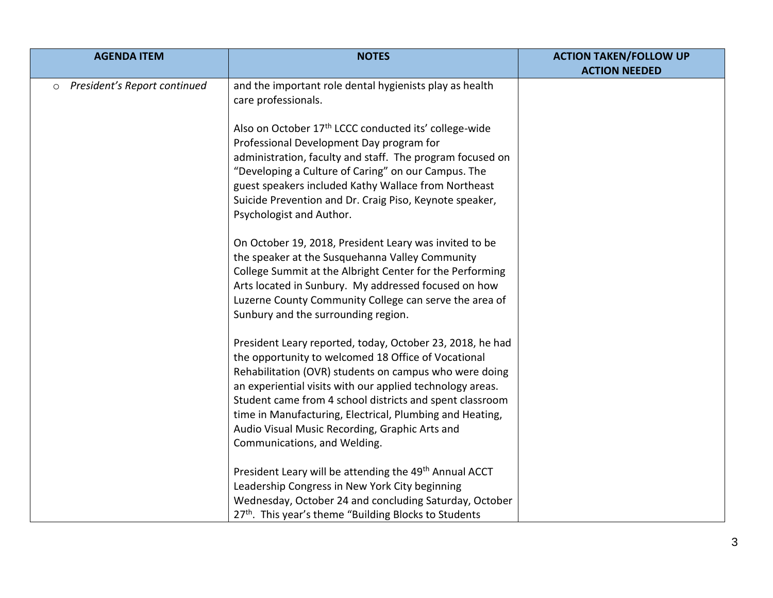| <b>AGENDA ITEM</b>                      | <b>NOTES</b>                                                                                                                                                                                                                                                                                                                                                                                                                                      | <b>ACTION TAKEN/FOLLOW UP</b><br><b>ACTION NEEDED</b> |
|-----------------------------------------|---------------------------------------------------------------------------------------------------------------------------------------------------------------------------------------------------------------------------------------------------------------------------------------------------------------------------------------------------------------------------------------------------------------------------------------------------|-------------------------------------------------------|
| President's Report continued<br>$\circ$ | and the important role dental hygienists play as health<br>care professionals.                                                                                                                                                                                                                                                                                                                                                                    |                                                       |
|                                         | Also on October 17th LCCC conducted its' college-wide<br>Professional Development Day program for<br>administration, faculty and staff. The program focused on<br>"Developing a Culture of Caring" on our Campus. The<br>guest speakers included Kathy Wallace from Northeast<br>Suicide Prevention and Dr. Craig Piso, Keynote speaker,<br>Psychologist and Author.                                                                              |                                                       |
|                                         | On October 19, 2018, President Leary was invited to be<br>the speaker at the Susquehanna Valley Community<br>College Summit at the Albright Center for the Performing<br>Arts located in Sunbury. My addressed focused on how<br>Luzerne County Community College can serve the area of<br>Sunbury and the surrounding region.                                                                                                                    |                                                       |
|                                         | President Leary reported, today, October 23, 2018, he had<br>the opportunity to welcomed 18 Office of Vocational<br>Rehabilitation (OVR) students on campus who were doing<br>an experiential visits with our applied technology areas.<br>Student came from 4 school districts and spent classroom<br>time in Manufacturing, Electrical, Plumbing and Heating,<br>Audio Visual Music Recording, Graphic Arts and<br>Communications, and Welding. |                                                       |
|                                         | President Leary will be attending the 49 <sup>th</sup> Annual ACCT<br>Leadership Congress in New York City beginning<br>Wednesday, October 24 and concluding Saturday, October<br>27th. This year's theme "Building Blocks to Students                                                                                                                                                                                                            |                                                       |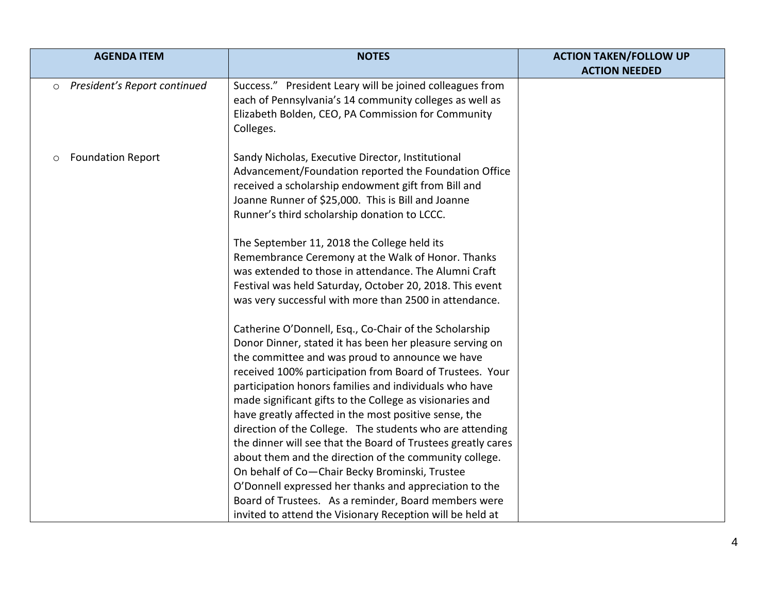| <b>AGENDA ITEM</b>                      | <b>NOTES</b>                                                                                                                                                                                                                                                                                                                                                                                                                                                                 | <b>ACTION TAKEN/FOLLOW UP</b><br><b>ACTION NEEDED</b> |
|-----------------------------------------|------------------------------------------------------------------------------------------------------------------------------------------------------------------------------------------------------------------------------------------------------------------------------------------------------------------------------------------------------------------------------------------------------------------------------------------------------------------------------|-------------------------------------------------------|
| President's Report continued<br>$\circ$ | Success." President Leary will be joined colleagues from<br>each of Pennsylvania's 14 community colleges as well as<br>Elizabeth Bolden, CEO, PA Commission for Community<br>Colleges.                                                                                                                                                                                                                                                                                       |                                                       |
| <b>Foundation Report</b><br>O           | Sandy Nicholas, Executive Director, Institutional<br>Advancement/Foundation reported the Foundation Office<br>received a scholarship endowment gift from Bill and<br>Joanne Runner of \$25,000. This is Bill and Joanne<br>Runner's third scholarship donation to LCCC.<br>The September 11, 2018 the College held its                                                                                                                                                       |                                                       |
|                                         | Remembrance Ceremony at the Walk of Honor. Thanks<br>was extended to those in attendance. The Alumni Craft<br>Festival was held Saturday, October 20, 2018. This event<br>was very successful with more than 2500 in attendance.                                                                                                                                                                                                                                             |                                                       |
|                                         | Catherine O'Donnell, Esq., Co-Chair of the Scholarship<br>Donor Dinner, stated it has been her pleasure serving on<br>the committee and was proud to announce we have<br>received 100% participation from Board of Trustees. Your<br>participation honors families and individuals who have<br>made significant gifts to the College as visionaries and                                                                                                                      |                                                       |
|                                         | have greatly affected in the most positive sense, the<br>direction of the College. The students who are attending<br>the dinner will see that the Board of Trustees greatly cares<br>about them and the direction of the community college.<br>On behalf of Co-Chair Becky Brominski, Trustee<br>O'Donnell expressed her thanks and appreciation to the<br>Board of Trustees. As a reminder, Board members were<br>invited to attend the Visionary Reception will be held at |                                                       |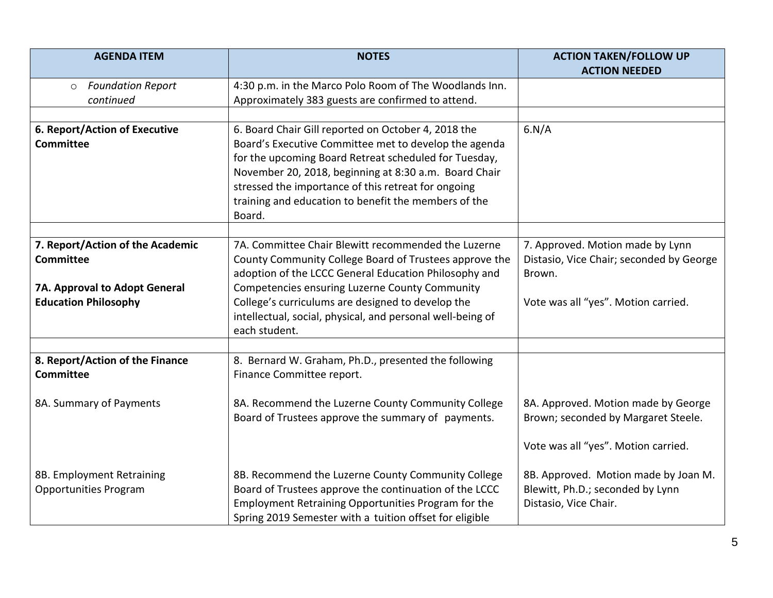| <b>AGENDA ITEM</b>                                | <b>NOTES</b>                                                                | <b>ACTION TAKEN/FOLLOW UP</b>            |
|---------------------------------------------------|-----------------------------------------------------------------------------|------------------------------------------|
|                                                   |                                                                             | <b>ACTION NEEDED</b>                     |
| <b>Foundation Report</b><br>$\circ$               | 4:30 p.m. in the Marco Polo Room of The Woodlands Inn.                      |                                          |
| continued                                         | Approximately 383 guests are confirmed to attend.                           |                                          |
|                                                   |                                                                             |                                          |
| 6. Report/Action of Executive<br><b>Committee</b> | 6. Board Chair Gill reported on October 4, 2018 the                         | 6.N/A                                    |
|                                                   | Board's Executive Committee met to develop the agenda                       |                                          |
|                                                   | for the upcoming Board Retreat scheduled for Tuesday,                       |                                          |
|                                                   | November 20, 2018, beginning at 8:30 a.m. Board Chair                       |                                          |
|                                                   | stressed the importance of this retreat for ongoing                         |                                          |
|                                                   | training and education to benefit the members of the                        |                                          |
|                                                   | Board.                                                                      |                                          |
| 7. Report/Action of the Academic                  | 7A. Committee Chair Blewitt recommended the Luzerne                         | 7. Approved. Motion made by Lynn         |
| <b>Committee</b>                                  | County Community College Board of Trustees approve the                      | Distasio, Vice Chair; seconded by George |
|                                                   | adoption of the LCCC General Education Philosophy and                       | Brown.                                   |
|                                                   | Competencies ensuring Luzerne County Community                              |                                          |
| 7A. Approval to Adopt General                     | College's curriculums are designed to develop the                           |                                          |
| <b>Education Philosophy</b>                       |                                                                             | Vote was all "yes". Motion carried.      |
|                                                   | intellectual, social, physical, and personal well-being of<br>each student. |                                          |
|                                                   |                                                                             |                                          |
| 8. Report/Action of the Finance                   | 8. Bernard W. Graham, Ph.D., presented the following                        |                                          |
| <b>Committee</b>                                  | Finance Committee report.                                                   |                                          |
|                                                   |                                                                             |                                          |
| 8A. Summary of Payments                           | 8A. Recommend the Luzerne County Community College                          | 8A. Approved. Motion made by George      |
|                                                   | Board of Trustees approve the summary of payments.                          | Brown; seconded by Margaret Steele.      |
|                                                   |                                                                             |                                          |
|                                                   |                                                                             | Vote was all "yes". Motion carried.      |
|                                                   |                                                                             |                                          |
| 8B. Employment Retraining                         | 8B. Recommend the Luzerne County Community College                          | 8B. Approved. Motion made by Joan M.     |
| <b>Opportunities Program</b>                      | Board of Trustees approve the continuation of the LCCC                      | Blewitt, Ph.D.; seconded by Lynn         |
|                                                   | Employment Retraining Opportunities Program for the                         | Distasio, Vice Chair.                    |
|                                                   | Spring 2019 Semester with a tuition offset for eligible                     |                                          |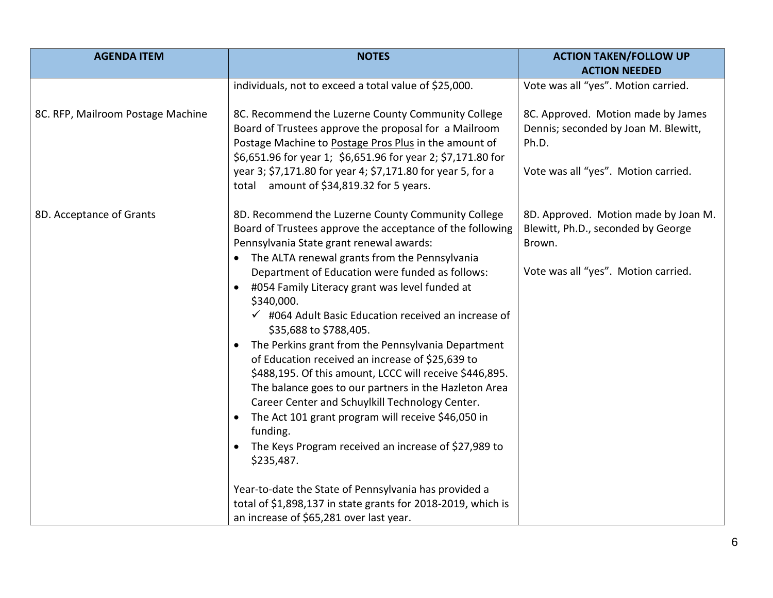| <b>AGENDA ITEM</b>                | <b>NOTES</b>                                                                    | <b>ACTION TAKEN/FOLLOW UP</b>        |
|-----------------------------------|---------------------------------------------------------------------------------|--------------------------------------|
|                                   |                                                                                 | <b>ACTION NEEDED</b>                 |
|                                   | individuals, not to exceed a total value of \$25,000.                           | Vote was all "yes". Motion carried.  |
| 8C. RFP, Mailroom Postage Machine | 8C. Recommend the Luzerne County Community College                              | 8C. Approved. Motion made by James   |
|                                   | Board of Trustees approve the proposal for a Mailroom                           | Dennis; seconded by Joan M. Blewitt, |
|                                   | Postage Machine to Postage Pros Plus in the amount of                           | Ph.D.                                |
|                                   | \$6,651.96 for year 1; \$6,651.96 for year 2; \$7,171.80 for                    |                                      |
|                                   | year 3; \$7,171.80 for year 4; \$7,171.80 for year 5, for a                     | Vote was all "yes". Motion carried.  |
|                                   | total amount of \$34,819.32 for 5 years.                                        |                                      |
| 8D. Acceptance of Grants          | 8D. Recommend the Luzerne County Community College                              | 8D. Approved. Motion made by Joan M. |
|                                   | Board of Trustees approve the acceptance of the following                       | Blewitt, Ph.D., seconded by George   |
|                                   | Pennsylvania State grant renewal awards:                                        | Brown.                               |
|                                   | The ALTA renewal grants from the Pennsylvania                                   |                                      |
|                                   | Department of Education were funded as follows:                                 | Vote was all "yes". Motion carried.  |
|                                   | #054 Family Literacy grant was level funded at<br>$\bullet$<br>\$340,000.       |                                      |
|                                   | $\checkmark$ #064 Adult Basic Education received an increase of                 |                                      |
|                                   | \$35,688 to \$788,405.                                                          |                                      |
|                                   | The Perkins grant from the Pennsylvania Department<br>$\bullet$                 |                                      |
|                                   | of Education received an increase of \$25,639 to                                |                                      |
|                                   | \$488,195. Of this amount, LCCC will receive \$446,895.                         |                                      |
|                                   | The balance goes to our partners in the Hazleton Area                           |                                      |
|                                   | Career Center and Schuylkill Technology Center.                                 |                                      |
|                                   | The Act 101 grant program will receive \$46,050 in<br>$\bullet$                 |                                      |
|                                   | funding.                                                                        |                                      |
|                                   | The Keys Program received an increase of \$27,989 to<br>$\bullet$<br>\$235,487. |                                      |
|                                   |                                                                                 |                                      |
|                                   | Year-to-date the State of Pennsylvania has provided a                           |                                      |
|                                   | total of \$1,898,137 in state grants for 2018-2019, which is                    |                                      |
|                                   | an increase of \$65,281 over last year.                                         |                                      |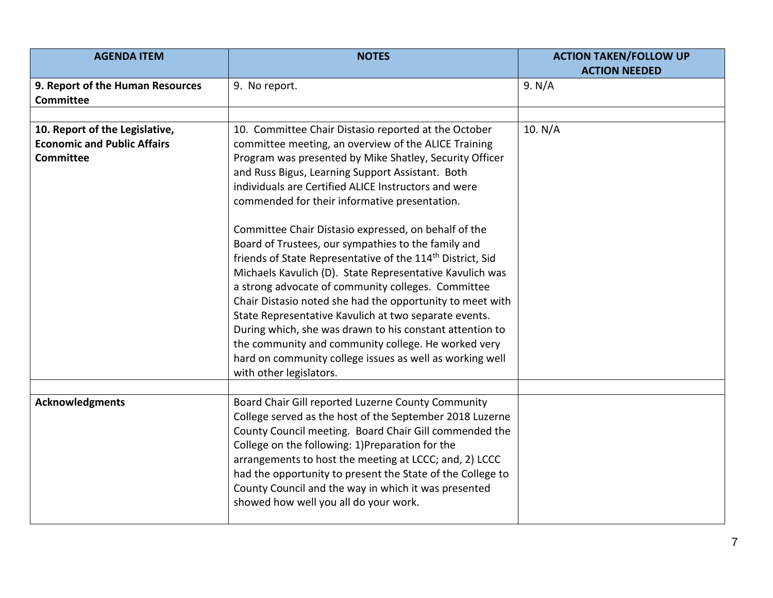| <b>AGENDA ITEM</b>                                                                       | <b>NOTES</b>                                                                                                                                                                                                                                                                                                                                                                                                                                                                                                                                                                                                                            | <b>ACTION TAKEN/FOLLOW UP</b><br><b>ACTION NEEDED</b> |
|------------------------------------------------------------------------------------------|-----------------------------------------------------------------------------------------------------------------------------------------------------------------------------------------------------------------------------------------------------------------------------------------------------------------------------------------------------------------------------------------------------------------------------------------------------------------------------------------------------------------------------------------------------------------------------------------------------------------------------------------|-------------------------------------------------------|
| 9. Report of the Human Resources<br><b>Committee</b>                                     | 9. No report.                                                                                                                                                                                                                                                                                                                                                                                                                                                                                                                                                                                                                           | 9. N/A                                                |
|                                                                                          |                                                                                                                                                                                                                                                                                                                                                                                                                                                                                                                                                                                                                                         |                                                       |
| 10. Report of the Legislative,<br><b>Economic and Public Affairs</b><br><b>Committee</b> | 10. Committee Chair Distasio reported at the October<br>committee meeting, an overview of the ALICE Training<br>Program was presented by Mike Shatley, Security Officer<br>and Russ Bigus, Learning Support Assistant. Both<br>individuals are Certified ALICE Instructors and were<br>commended for their informative presentation.                                                                                                                                                                                                                                                                                                    | 10. N/A                                               |
|                                                                                          | Committee Chair Distasio expressed, on behalf of the<br>Board of Trustees, our sympathies to the family and<br>friends of State Representative of the 114 <sup>th</sup> District, Sid<br>Michaels Kavulich (D). State Representative Kavulich was<br>a strong advocate of community colleges. Committee<br>Chair Distasio noted she had the opportunity to meet with<br>State Representative Kavulich at two separate events.<br>During which, she was drawn to his constant attention to<br>the community and community college. He worked very<br>hard on community college issues as well as working well<br>with other legislators. |                                                       |
|                                                                                          |                                                                                                                                                                                                                                                                                                                                                                                                                                                                                                                                                                                                                                         |                                                       |
| <b>Acknowledgments</b>                                                                   | Board Chair Gill reported Luzerne County Community<br>College served as the host of the September 2018 Luzerne<br>County Council meeting. Board Chair Gill commended the<br>College on the following: 1)Preparation for the<br>arrangements to host the meeting at LCCC; and, 2) LCCC<br>had the opportunity to present the State of the College to<br>County Council and the way in which it was presented<br>showed how well you all do your work.                                                                                                                                                                                    |                                                       |